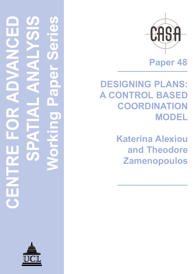# **CENTRE FOR ADVANCED SPATIAL ANALYSIS Working Paper Series** ď 1 1 T OZ.  $\left\langle \cdot \right\rangle$





**Paper 48**

**DESIGNING PLANS: A CONTROL BASED COORDINATION MODEL**

> **Katerina Alexiou and Theodore Zamenopoulos**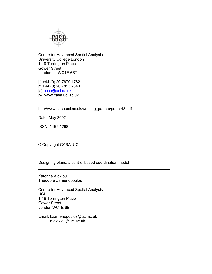

Centre for Advanced Spatial Analysis University College London 1-19 Torrington Place Gower Street London WC1E 6BT

[t] +44 (0) 20 7679 1782 [f] +44 (0) 20 7813 2843 [e] casa@ucl.ac.uk [w] www.casa.ucl.ac.uk

http//www.casa.ucl.ac.uk/working\_papers/paper48.pdf

Date: May 2002

ISSN: 1467-1298

© Copyright CASA, UCL

Designing plans: a control based coordination model

Katerina Alexiou Theodore Zamenopoulos

Centre for Advanced Spatial Analysis UCL 1-19 Torrington Place Gower Street London WC1E 6BT

Email: t.zamenopoulos@ucl.ac.uk a.alexiou@ucl.ac.uk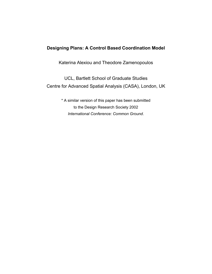# **Designing Plans: A Control Based Coordination Model**

Katerina Alexiou and Theodore Zamenopoulos

UCL, Bartlett School of Graduate Studies Centre for Advanced Spatial Analysis (CASA), London, UK

> \* A similar version of this paper has been submitted to the Design Research Society 2002 *International Conference: Common Ground*.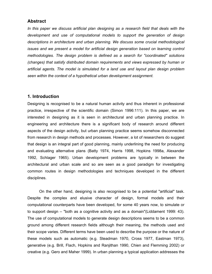### **Abstract**

*In this paper we discuss artificial plan designing as a research field that deals with the development and use of computational models to support the generation of design descriptions in architecture and urban planning. We discuss some crucial methodological issues and we present a model for artificial design generation based on learning control methodologies. The design problem is defined as a search for "coordinated" solutions (changes) that satisfy distributed domain requirements and views expressed by human or artificial agents. The model is simulated for a land use and layout plan design problem seen within the context of a hypothetical urban development assignment.* 

# **1. Introduction**

Designing is recognised to be a natural human activity and thus inherent in professional practice, irrespective of the scientific domain (Simon 1996:111). In this paper, we are interested in designing as it is seen in architectural and urban planning practice. In engineering and architecture there is a significant body of research around different aspects of the design activity, but urban planning practice seems somehow disconnected from research in design methods and processes. However, a lot of researchers do suggest that design is an integral part of good planning, mainly underlining the need for producing and evaluating alternative plans (Batty 1974, Harris 1998, Hopkins 1998a, Alexander 1992, Schlager 1965). Urban development problems are typically in between the architectural and urban scale and so are seen as a good paradigm for investigating common routes in design methodologies and techniques developed in the different disciplines.

On the other hand, designing is also recognised to be a potential "artificial" task. Despite the complex and elusive character of design, formal models and their computational counterparts have been developed, for some 40 years now, to simulate or to support design – "both as a cognitive activity and as a domain"(Liddament 1999: 43). The use of computational models to generate design descriptions seems to be a common ground among different research fields although their meaning, the methods used and their scope varies. Different terms have been used to describe the purpose or the nature of these models such as automatic (e.g. Steadman 1970, Cross 1977, Eastman 1973), generative (e.g. Brill, Flach, Hopkins and Ranjithan 1990, Chien and Flemming 2002) or creative (e.g. Gero and Maher 1999). In urban planning a typical application addresses the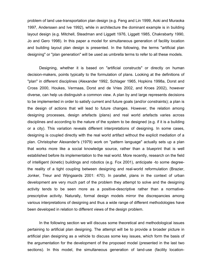problem of land use-transportation plan design (e.g. Feng and Lin 1999, Aoki and Muraoka 1997, Anderssen and Ive 1992), while in architecture the dominant example is in building layout design (e.g. Mitchell, Steadman and Liggett 1976, Liggett 1985, Chakrabarty 1990, Jo and Gero 1998). In this paper a model for simultaneous generation of facility location and building layout plan design is presented. In the following, the terms "artificial plan designing" or "plan generation" will be used as umbrella terms to refer to all these models.

Designing, whether it is based on "artificial constructs" or directly on human decision-makers, points typically to the formulation of plans. Looking at the definitions of "plan" in different disciplines (Alexander 1992, Schlager 1965, Hopkins 1998a, Dorst and Cross 2000, Houkes, Vermaas, Dorst and de Vries 2002, and Kroes 2002), however diverse, can help us distinguish a common view. A plan by and large represents decisions to be implemented in order to satisfy current and future goals (and/or constraints); a plan is the design of actions that will lead to future changes. However, the relation among designing processes, design artefacts (plans) and real world artefacts varies across disciplines and according to the nature of the system to be designed (e.g. if it is a building or a city). This variation reveals different interpretations of designing. In some cases, designing is coupled directly with the real world artifact without the explicit mediation of a plan. Christopher Alexander's (1979) work on "pattern language" actually sets up a plan that works more like a social knowledge source, rather than a blueprint that is well established before its implementation to the real world. More recently, research on the field of intelligent (kinetic) buildings and robotics (e.g. Fox 2001), anticipate -to some degreethe reality of a tight coupling between designing and real-world reformulation (Brazier, Jonker, Treur and Wijngaards 2001: 470). In parallel, plans in the context of urban development are very much part of the problem they attempt to solve and the designing activity tends to be seen more as a positive-descriptive rather than a normativeprescriptive activity. Naturally, formal design models mirror the discrepancies among various interpretations of designing and thus a wide range of different methodologies have been developed in relation to different views of the design problem.

In the following section we will discuss some theoretical and methodological issues pertaining to artificial plan designing. The attempt will be to provide a broader picture in artificial plan designing as a vehicle to discuss some key issues, which form the basis of the argumentation for the development of the proposed model (presented in the last two sections). In this model, the simultaneous generation of land-use (facility location-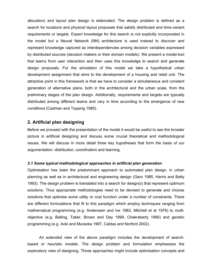allocation) and layout plan design is elaborated. The design problem is defined as a search for locations and physical layout proposals that satisfy distributed and time-variant requirements or targets. Expert knowledge for this search is not explicitly incorporated in the model but a Neural Network (NN) architecture is used instead to discover and represent knowledge captured as interdependencies among decision variables expressed by distributed sources (decision makers or their domain models). We present a model-tool that learns from user interaction and then uses this knowledge to search and generate design proposals. For the simulation of this model we take a hypothetical urban development assignment that aims to the development of a housing and retail unit. The attractive point in this framework is that we have to consider a simultaneous and constant generation of alternative plans, both in the architectural and the urban scale, from the preliminary stages of the plan design. Additionally, requirements and targets are typically distributed among different teams and vary in time according to the emergence of new conditions (Cadman and Topping 1985).

# **2. Artificial plan designing**

Before we proceed with the presentation of the model it would be useful to see the broader picture in artificial designing and discuss some crucial theoretical and methodological issues. We will discuss in more detail three key hypotheses that form the basis of our argumentation: distribution, coordination and learning.

### *2.1 Some typical methodological approaches in artificial plan generation*

Optimisation has been the predominant approach to automated plan design, in urban planning as well as in architectural and engineering design (Gero 1985, Harris and Batty 1993). The design problem is translated into a search for design(s) that represent optimum solutions. Thus appropriate methodologies need to be devised to generate and choose solutions that optimise some utility or cost function under a number of constraints. There are different formulations that fit to this paradigm which employ techniques ranging from mathematical programming (e.g. Anderssen and Ive 1982, Mitchell et al 1976) to multiobjective (e.g. Balling, Taber, Brown and Day 1999, Chakrabarty 1990) and genetic programming (e.g. Aoki and Muraoka 1997, Caldas and Norford 2002).

An extended view of the above paradigm includes the development of searchbased or heuristic models. The design problem and formulation emphasizes the exploratory view of designing. Those approaches might include optimisation concepts and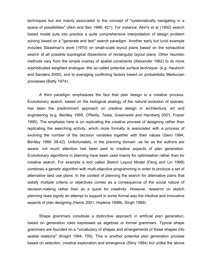techniques but are mainly associated to the concept of "systematically navigating in a space of possibilities" (Akin and Sen 1996: 421). For instance, Akin's et al (1992) search based model puts into practice a quite comprehensive interpretation of design problem solving based on a "generate and test" search paradigm. Another early but lucid example includes Steadman's work (1970) on small-scale layout plans based on the exhaustive search of all possible topological dissections of rectangular layout plans. Other heuristic methods vary from the simple overlay of spatial constraints (Alexander 1962) to its more sophisticated weighted analogue -the so-called potential surface technique- (e.g. Haubrich and Sanders 2000), and to averaging conflicting factors based on probabilistic Markovian processes (Batty 1974).

A third paradigm emphasizes the fact that plan design is a creative process. Evolutionary search, based on the biological analogy of the natural evolution of species, has been the predominant approach on creative design in architecture, art and engineering (e.g. Bentley 1999, O'Reilly, Testa, Greenwold and Hamberg 2001, Frazer 1995). The emphasis here is on replicating the creative process of designing rather than replicating the searching activity, which more formally is associated with a process of evolving the number of the decision variables together with their values (Gero 1994, Bentley 1999: 38-42). Unfortunately, in the planning domain -as far as the authors are aware- not much attention has been paid to creative aspects of plan generation. Evolutionary algorithms in planning have been used mainly for optimisation rather than for creative search. For example a tool called Sketch Layout Model (Feng and Lin 1999) combines a genetic algorithm with multi-objective programming in order to produce a set of alternative land use plans. In the context of planning the search for alternative plans that satisfy multiple criteria or objectives comes as a consequence of the social nature of decision-making rather than as a quest for creativity. However, research on sketch planning does signify an attempt to support in some formal way the intuitive and innovative aspects of plan designing (Harris 2001, Hopkins 1998b, Singh 1999).

Shape grammars constitute a distinctive approach in artificial plan generation, based on generation rules expressed as algebras or formal grammars. Typical shape grammars are founded on a "vocabulary of shapes and arrangements of these shapes into spatial relations" (Knight 1994: 705). This is another potential plan generation process based on selection, creative exploration and emergence (Stiny 1994) but unlike the above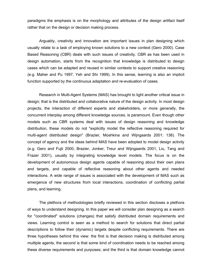paradigms the emphasis is on the morphology and attributes of the design artifact itself rather that on the design or decision making process.

Arguably, creativity and innovation are important issues in plan designing which usually relate to a task of employing known solutions to a new context (Gero 2000). Case Based Reasoning (CBR) deals with such issues of creativity. CBR as has been used in design automation, starts from the recognition that knowledge is distributed to design cases which can be adapted and reused in similar contexts to support creative reasoning (e.g. Maher and Pu 1997, Yeh and Shi 1999). In this sense, learning is also an implicit function supported by the continuous adaptation and re-evaluation of cases.

Research in Multi-Agent Systems (MAS) has brought to light another critical issue in design; that is the distributed and collaborative nature of the design activity. In most design projects, the interaction of different experts and stakeholders, or more generally, the concurrent interplay among different knowledge sources, is paramount. Even though other models such as CBR systems deal with issues of design reasoning and knowledge distribution, these models do not "explicitly model the reflective reasoning required for multi-agent distributed design" (Brazier, Moshkina and Wijngaards 2001: 138). The concept of agency and the ideas behind MAS have been adopted to model design activity (e.g. Gero and Fujii 2000, Brazier, Jonker, Treur and Wijngaards 2001, Liu, Tang and Frazer 2001), usually by integrating knowledge level models. The focus is on the development of autonomous design agents capable of reasoning about their own plans and targets, and capable of reflective reasoning about other agents and needed interactions. A wide range of issues is associated with the development of MAS such as emergence of new structures from local interactions, coordination of conflicting partial plans, and learning.

The plethora of methodologies briefly reviewed in this section discloses a plethora of ways to understand designing. In this paper we will consider plan designing as a search for "coordinated" solutions (changes) that satisfy distributed domain requirements and views. Learning control is seen as a method to search for solutions that direct partial descriptions to follow their (dynamic) targets despite conflicting requirements. There are three hypotheses behind this view: the first is that decision making is distributed among multiple agents, the second is that some kind of coordination needs to be reached among these diverse requirements and purposes; and the third is that domain knowledge cannot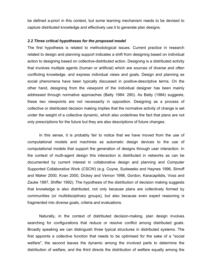be defined a-priori in this context, but some learning mechanism needs to be devised to capture distributed knowledge and effectively use it to generate plan designs.

### *2.2 Three critical hypotheses for the proposed model*

The first hypothesis is related to methodological issues. Current practice in research related to design and planning support indicates a shift from designing based on individual action to designing based on collective-distributed action. Designing is a distributed activity that involves multiple agents (human or artificial) which are sources of diverse and often conflicting knowledge, and express individual views and goals. Design and planning as social phenomena have been typically discussed in positive-descriptive terms. On the other hand, designing from the viewpoint of the individual designer has been mainly addressed through normative approaches (Batty 1984: 280). As Batty (1984) suggests, these two viewpoints are not necessarily in opposition. Designing as a process of collective or distributed decision making implies that the normative activity of change is set under the weight of a collective dynamic, which also underlines the fact that plans are not only prescriptions for the future but they are also descriptions of future changes.

In this sense, it is probably fair to notice that we have moved from the use of computational models and machines as automatic design devices to the use of computational models that support the generation of designs through user interaction. In the context of multi-agent design this interaction is distributed in networks as can be documented by current interest in collaborative design and planning and Computer Supported Collaborative Work (CSCW) (e.g. Coyne, Sudweeks and Haynes 1996, Simoff and Maher 2000, Kvan 2000, Dickey and Vernon 1998, Gordon, Karacapilidis, Voss and Zauke 1997, Shiffer 1992). The hypothesis of the distribution of decision making suggests that knowledge is also distributed, not only because plans are collectively formed by communities (or multidisciplinary groups), but also because even expert reasoning is fragmented into diverse goals, criteria and evaluations.

Naturally, in the context of distributed decision-making, plan design involves searching for configurations that reduce or resolve conflict among distributed goals. Broadly speaking we can distinguish three typical structures in distributed systems. The first appoints a collective function that needs to be optimised for the sake of a "social welfare", the second leaves the dynamic among the involved parts to determine the distribution of welfare, and the third directs the distribution of welfare equally among the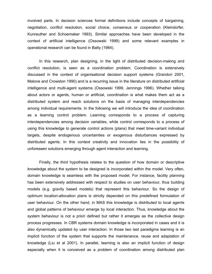involved parts. In decision sciences formal definitions include concepts of bargaining, negotiation, conflict resolution, social choice, consensus or cooperation (Kleindorfer, Kunreuther and Schoemaker 1993). Similar approaches have been developed in the context of artificial intelligence (Ossowski 1999) and some relevant examples in operational research can be found in Batty (1984).

In this research, plan designing, in the light of distributed decision-making and conflict resolution, is seen as a coordination problem. Coordination is extensively discussed in the context of organisational decision support systems (Grandori 2001, Malone and Crowston 1990) and is a recurring issue in the literature on distributed artificial intelligence and multi-agent systems (Ossowski 1999, Jennings 1996). Whether talking about actors or agents, human or artificial, coordination is what makes them act as a distributed system and reach solutions on the basis of managing interdependencies among individual requirements. In the following we will introduce the idea of coordination as a learning control problem. Learning corresponds to a process of capturing interdependencies among decision variables, while control corresponds to a process of using this knowledge to generate control actions (plans) that meet time-variant individual targets, despite endogenous uncertainties or exogenous disturbances expressed by distributed agents. In this context creativity and innovation lies in the possibility of unforeseen solutions emerging through agent interaction and learning.

Finally, the third hypothesis relates to the question of how domain or descriptive knowledge about the system to be designed is incorporated within the model. Very often, domain knowledge is seamless with the proposed model. For instance, facility planning has been extensively addressed with respect to studies on user behaviour, thus building models (e.g. gravity based models) that represent this behaviour. So the design of optimum location-allocation plans is strictly depended on this predefined formulation of user behaviour. On the other hand, in MAS this knowledge is distributed to local agents and global patterns of behaviour emerge by local interaction. Thus, knowledge about the system behaviour is not a priori defined but rather it emerges as the collective design process progresses. In CBR systems domain knowledge is incorporated in cases and it is also dynamically updated by user interaction. In those two last paradigms learning is an implicit function of the system that supports the maintenance, reuse and adaptation of knowledge (Liu et al 2001). In parallel, learning is also an implicit function of design especially when it is conceived as a problem of coordination among distributed plan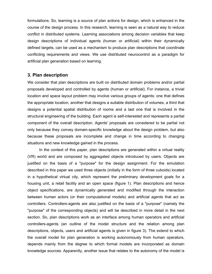formulations. So, learning is a source of plan actions for design, which is enhanced in the course of the design process. In this research, learning is seen as a natural way to reduce conflict in distributed systems. Learning associations among decision variables that keep design descriptions of individual agents (human or artificial) within their dynamically defined targets, can be used as a mechanism to produce plan descriptions that coordinate conflicting requirements and views. We use distributed neurocontrol as a paradigm for artificial plan generation based on learning.

# **3. Plan description**

We consider that plan descriptions are built on distributed domain problems and/or partial proposals developed and controlled by agents (human or artificial). For instance, a trivial location and space layout problem may involve various groups of agents: one that defines the appropriate location, another that designs a suitable distribution of volumes, a third that designs a potential spatial distribution of rooms and a last one that is involved in the structural engineering of the building. Each agent is self-interested and represents a partial component of the overall description. Agents' proposals are considered to be partial not only because they convey domain-specific knowledge about the design problem, but also because these proposals are incomplete and change in time according to changing situations and new knowledge gained in the process.

In the context of this paper, plan descriptions are generated within a virtual reality (VR) world and are composed by aggregated objects introduced by users. Objects are justified on the basis of a "purpose" for the design assignment. For the simulation described in this paper we used three objects (initially in the form of three cuboids) located in a hypothetical virtual city, which represent the preliminary development goals for a housing unit, a retail facility and an open space (figure 1). Plan descriptions and hence object specifications, are dynamically generated and modified through the interaction between human actors (or their computational models) and artificial agents that act as controllers. Controllers-agents are also justified on the basis of a "purpose" (namely the "purpose" of the corresponding objects) and will be described in more detail in the next section. So, plan descriptions work as an interface among human operators and artificial controllers-agents (an outline of the model structure and the relation among plan descriptions, objects, users and artificial agents is given in figure 3). The extend to which the overall model for plan generation is working autonomously from human operators, depends mainly from the degree to which formal models are incorporated as domain knowledge sources. Apparently, another issue that relates to the autonomy of the model is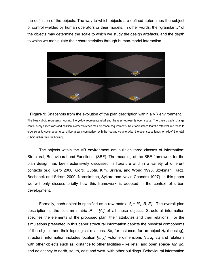the definition of the objects. The way to which objects are defined determines the subject of control wielded by human operators or their models. In other words, the "granularity" of the objects may determine the scale to which we study the design artefacts, and the depth to which we manipulate their characteristics through human-model interaction.



**Figure 1:** Snapshots from the evolution of the plan description within a VR environment. The blue cuboid represents housing; the yellow represents retail and the grey represents open space. The three objects change continuously dimensions and position in order to reach their functional requirements. Note for instance that the retail volume tends to grow so as to cover larger ground floor area in comparison with the housing volume. Also, the open space tends to "follow" the retail cuboid rather than the housing.

The objects within the VR environment are built on three classes of information: Structural, Behavioural and Functional (SBF). The meaning of the SBF framework for the plan design has been extensively discussed in literature and in a variety of different contexts (e.g. Gero 2000, Gorti, Gupta, Kim, Sriram, and Wong 1998, Szykman, Racz, Bochenek and Sriram 2000, Narasimhan, Sykara and Navin-Chandra 1997). In this paper we will only discuss briefly how this framework is adopted in the context of urban development.

Formally, each object is specified as a row matrix:  $A_i = [S_i, B_i, F_i]$ . The overall plan description is the column matrix  $P = [Ai]$  of all these objects. Structural information specifies the elements of the proposed plan, their attributes and their relations. For the simulations presented in this paper structural information depicts the physical components of the objects and their topological relations. So, for instance, for an object *Ah* (housing), structural information includes location [x, y], volume dimensions [z<sub>x</sub>, z<sub>y</sub>, z<sub>z</sub>] and relations with other objects such as: distance to other facilities -like retail and open space- *[dr, do]* and adjacency to north, south, east and west, with other buildings. Behavioural information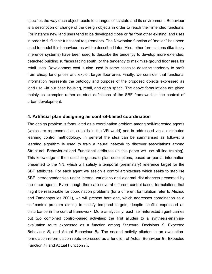specifies the way each object reacts to changes of its state and its environment. Behaviour is a description of change of the design objects in order to reach their intended functions. For instance new land uses tend to be developed close or far from other existing land uses in order to fulfil their functional requirements. The Newtonian function of "motion" has been used to model this behaviour, as will be described later. Also, other formulations (like fuzzy inference systems) have been used to describe the tendency to develop more extended, detached building surfaces facing south, or the tendency to maximize ground floor area for retail uses. Development cost is also used in some cases to describe tendency to profit from cheap land prices and exploit larger floor area. Finally, we consider that functional information represents the ontology and purpose of the proposed objects expressed as land use –in our case housing, retail, and open space. The above formulations are given mainly as examples rather as strict definitions of the SBF framework in the context of urban development.

### **4. Artificial plan designing as control-based coordination**

The design problem is formulated as a coordination problem among self-interested agents (which are represented as cuboids in the VR world) and is addressed via a distributed learning control methodology. In general the idea can be summarised as follows: a learning algorithm is used to train a neural network to discover associations among Structural, Behavioural and Functional attributes (in this paper we use off-line training). This knowledge is then used to generate plan descriptions, based on partial information presented to the NN, which will satisfy a temporal (preliminary) reference target for the SBF attributes. For each agent we assign a control architecture which seeks to stabilise SBF interdependencies under internal variations and external disturbances presented by the other agents. Even though there are several different control-based formulations that might be reasonable for coordination problems (for a different formulation refer to Alexiou and Zamenopoulos 2001), we will present here one, which addresses coordination as a self-control problem aiming to satisfy temporal targets, despite conflict expressed as disturbance in the control framework. More analytically, each self-interested agent carries out two combined control-based activities: the first alludes to a synthesis-analysisevaluation route expressed as a function among Structural Decisions *S*, Expected Behaviour *Be* and Actual Behaviour *Bs*. The second activity alludes to an evaluationformulation-reformulation route expressed as a function of Actual Behaviour *Bs*, Expected Function  $F_e$  and Actual Function  $F_b$ .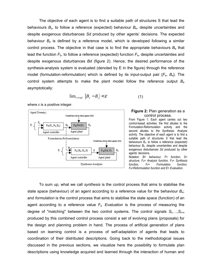The objective of each agent is to find a suitable path of structures S that lead the behaviours *Bs*, to follow a reference (expected) behaviour *Be*, despite uncertainties and despite exogenous disturbances *Sd* produced by other agents' decisions. The expected behaviour *Be* is defined by a reference model, which is developed following a similar control process. The objective in that case is to find the appropriate behaviours *Be* that lead the function  $F_b$ , to follow a reference (expected) function  $F_e$ , despite uncertainties and despite exogenous disturbances *Bd* (figure 2). Hence, the desired performance of the synthesis-analysis system is evaluated (denoted by E in the figure) through the reference model (formulation-reformulation) which is defined by its input-output pair {*Fe*, *Be*}. The control system attempts to make the plant model follow the reference output *Be* asymptotically:

$$
\lim_{t \to \inf} |B_e - B_s| < \varepsilon \tag{1}
$$

where *ε* is a positive integer.



### **Figure 2:** Plan generation as a control process.

From Figure 1: Each agent carries out two control-based activities: the first alludes to the Formulation-Reformulation activity and the second alludes to the Synthesis- Analysis activity. The objective of each agent is to find a suitable path of structures *S* that lead the behaviours *Bs*, to follow a reference (expected) behaviour *Be*, despite uncertainties and despite exogenous disturbances *Sd* produced by other agents' decisions.

Notation: *B= behaviour, F= function, S= structure, FA= Analysis function, FS= Synthesis function, FF= Formulation function, FR=Reformulation function and E= Evaluation.* 

To sum up, what we call *synthesis* is the control process that aims to stabilise the state space (behaviour) of an agent according to a reference value for the behaviour *Be*; and *formulation* is the control process that aims to stabilise the state space (function) of an agent according to a reference value *Fe*. *Evaluation* is the process of measuring the degree of "matching" between the two control systems. The control signals *St,…,St+n* produced by this combined control process consist a set of evolving plans (proposals) for the design and planning problem in hand. The process of artificial generation of plans based on learning control is a process of self-adaptation of agents that leads to coordination of their distributed descriptions. Going back to the methodological issues discussed in the previous sections, we visualize here the possibility to formulate plan descriptions using knowledge acquired and learned through the interaction of human and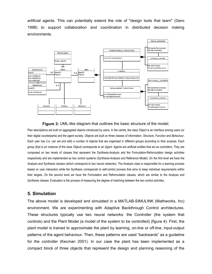artificial agents. This can potentially extend the role of "design tools that learn" (Gero 1998) to support collaboration and coordination in distributed decision making environments.



### **Figure 3:** UML-like diagram that outlines the basic structure of the model.

Plan descriptions are built on aggregated objects introduced by users. In the centre, the class *Object* is an interface among users (or their digital counterparts) and the agent society. Objects are built on three classes of information: *Structure*, *Function* and *Behaviour*. Each user has (i.e. can set and edit) a number of objects that are organised in different groups according to their purpose. Each group (that is an instance of the class *Object*) corresponds to an *Agent*. Agents are artificial entities that act as controllers. They are composed on two levels of classes that represent the Synthesis-Analysis and the Formulation-Reformulation design activities respectively and are implemented as two control systems (Synthesis-Analysis and Reference Model). On the first level we have the Analysis and Synthesis classes (which correspond to two neural networks). The Analysis class is responsible for a learning process based on user interaction while the Synthesis corresponds to self-control process that aims to keep individual requirements within their targets. On the second level we have the Formulation and Reformulation classes, which are similar to the Analysis and Synthesis classes. Evaluation is the process of measuring the degree of matching between the two control activities.

### **5. Simulation**

The above model is developed and simulated in a MATLAB-SIMULINK (Mathworks, Inc) environment. We are experimenting with Adaptive Backthrough Control architectures. These structures typically use two neural networks: the Controller (the system that controls) and the Plant Model (a model of the system to be controlled) (figure 4). First, the plant model is trained to approximate the plant by learning, on-line or off-line, input-output patterns of the agent behaviour. Then, these patterns are used "backwards" as a guideline for the controller (Kecman 2001). In our case the plant has been implemented as a compact block of three objects that represent the design and planning reasoning of the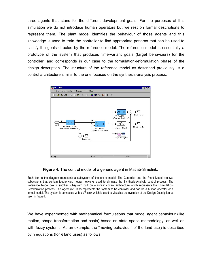three agents that stand for the different development goals. For the purposes of this simulation we do not introduce human operators but we rest on formal descriptions to represent them. The plant model identifies the behaviour of those agents and this knowledge is used to train the controller to find appropriate patterns that can be used to satisfy the goals directed by the reference model. The reference model is essentially a prototype of the system that produces time-variant goals (target behaviours) for the controller, and corresponds in our case to the formulation-reformulation phase of the design description. The structure of the reference model as described previously, is a control architecture similar to the one focused on the synthesis-analysis process.



**Figure 4:** The control model of a generic agent in Matlab-Simulink.

Each box in the diagram represents a subsystem of the entire model. The Controller and the Plant Model are two subsystems that contain feedforward neural networks used to simulate the Synthesis-Analysis control process. The Reference Model box is another subsystem built on a similar control architecture which represents the Formulation-Reformulation process. The Agent (or Plant) represents the system to be controller and can be a human operator or a formal model. The system is connected with a VR sink which is used to visualise the evolution of the Design Description as seen in figure1.

We have experimented with mathematical formulations that model agent behaviour (like motion, shape transformation and costs) based on state space methodology, as well as with fuzzy systems. As an example, the "moving behaviour" of the land use *j* is described by n equations (for *n* land uses) as follows: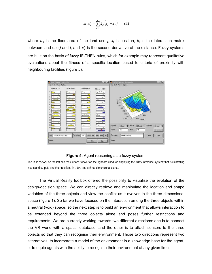$$
m_j x''_j = \sum_{i=1}^n k_{ij} (x_i - x_j)
$$
 (2)

where  $m_j$  is the floor area of the land use  $j$ ,  $x_j$  is position,  $k_{ij}$  is the interaction matrix between land use *j* and *i*, and  $x''_i$  is the second derivative of the distance. Fuzzy systems are built on the basis of fuzzy IF-THEN rules, which for example may represent qualitative evaluations about the fitness of a specific location based to criteria of proximity with neighbouring facilities (figure 5).



### **Figure 5:** Agent reasoning as a fuzzy system.

The Rule Viewer on the left and the Surface Viewer on the right are used for displaying the fuzzy inference system; that is illustrating inputs and outputs and their relations in a two and a three dimensional space.

The Virtual Reality toolbox offered the possibility to visualise the evolution of the design-decision space. We can directly retrieve and manipulate the location and shape variables of the three objects and view the conflict as it evolves in the three dimensional space (figure 1). So far we have focused on the interaction among the three objects within a neutral (void) space, so the next step is to build an environment that allows interaction to be extended beyond the three objects alone and poses further restrictions and requirements. We are currently working towards two different directions: one is to connect the VR world with a spatial database, and the other is to attach sensors to the three objects so that they can recognise their environment. Those two directions represent two alternatives: to incorporate a model of the environment in a knowledge base for the agent, or to equip agents with the ability to recognise their environment at any given time.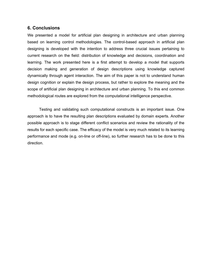# **6. Conclusions**

We presented a model for artificial plan designing in architecture and urban planning based on learning control methodologies. The control-based approach in artificial plan designing is developed with the intention to address three crucial issues pertaining to current research on the field: distribution of knowledge and decisions, coordination and learning. The work presented here is a first attempt to develop a model that supports decision making and generation of design descriptions using knowledge captured dynamically through agent interaction. The aim of this paper is not to understand human design cognition or explain the design process, but rather to explore the meaning and the scope of artificial plan designing in architecture and urban planning. To this end common methodological routes are explored from the computational intelligence perspective.

Testing and validating such computational constructs is an important issue. One approach is to have the resulting plan descriptions evaluated by domain experts. Another possible approach is to stage different conflict scenarios and review the rationality of the results for each specific case. The efficacy of the model is very much related to its learning performance and mode (e.g. on-line or off-line), so further research has to be done to this direction.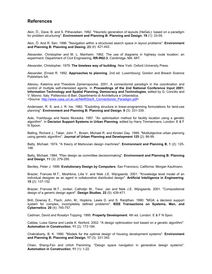# **References**

Akin, Ö., Dave, B. and S. Pithavadian. 1992. "Heuristic generation of layouts (HeGeL): based on a paradigm for problem structuring". **Environment and Planning B: Planning and Design**, **19** (1): 33-59.

Akin, Ö. And R. Sen. 1996. "Navigation within a structured search space in layout problems". **Environment and Planning B: Planning and Desing**, **23** (4): 421-442.

Alexander, Christopher and M. L. Manheim. 1962. The use of diagrams in highway route location: an experiment. Department of Civil Engineering, **RR-R62-3**, Cambridge, MA: MIT.

Alexander, Christopher. 1979. **The timeless way of building**. New York: Oxford University Press.

Alexander, Ernest R. 1992. **Approaches to planning**. 2nd ed. Luxembourg: Gordon and Breach Science Publishers SA.

Alexiou, Katerina and Theodore Zamenopoulos. 2001. A connectionist paradigm in the coordination and control of multiple self-interested agents. In **Proceedings of the 2nd National Conference Input 2001: Information Technology and Spatial Planning, Democracy and Technologies**, edited by G. Concilio and V. Monno. Italy: Politecnico di Bari, Dipartimento di Architettura e Urbanistica. <Source: http://www.casa.ucl.ac.uk/NeWGis/A\_Connectionist\_Paradigm.pdf>

Anderssen, R. S. and J. R. Ive. 1982. "Exploiting structure in linear-programming formulations for land-use planning". **Environment and Planning B: Planning and Design**, **9** (3): 331-339.

Aoki, Yoshitsugu and Naoto Muraoka. 1997. "An optimisation method for facility location using a genetic algorithm". In **Decision Support Systems in Urban Planning**, edited by Harry Timmermans. London: E & F N Spoon.

Balling, Richard J., Taber, John T., Brown, Michael R. and Kirsten Day. 1999. "Multiobjective urban planning using genetic algorithm". **Journal of Urban Planning and Development 125** (2): 86-99.

Batty, Michael. 1974. "A theory of Markovian design machines". **Environment and Planning B**, **1** (2): 125- 146.

Batty, Michael. 1984. "Plan design as committee decisionmaking". **Environment and Planning B: Planning and Design**, **11** (3): 279-295.

Bentley, Peter J. 1999. **Evolutionary Design by Computers**. San Francisco, California: Morgan Kaufmann.

Brazier, Frances M.T., Moshkina, Lilia V. and Niek J.E. Wijngaards. 2001. "Knowledge level model of an individual designer as an agent in collaborative distributed design". **Artificial Intelligence in Engineering**, **15** (2): 137-152.

Brazier, Frances M.T., Jonker, Catholijn M., Treur, Jan and Niek J.E. Wijngaards. 2001. "Compositional design of a generic design agent". **Design Studies**, **22** (5): 439-471.

Brill, Downey E., Flach, John, M., Hopkins, Lewis D. and S. Ranjithan. 1990. "MGA: a decision support system for complex, incompletely defined problems". **IEEE Transactions on Systems, Man, and Cybernetics**, **20** (4): 745-757.

Cadman, David and Rosalyn Topping. 1995. **Property Development**. 4th ed. London: E & F N Spon.

Caldas, Luisa Gama and Leslie K. Norford. 2002. "A design optimization tool based on a genetic algorithm". **Automation in Construction**, **11** (2): 173-184.

Chakrabarty, B. K. 1990. "Models for the optimal design of housing development systems". **Environment and Planning B: Planning and Design**, **17** (3): 331-340.

Chien, Sheng-Fen and Urlich Flemming. "Design space navigation in generative design systems". **Automation in Construction**, **11** (1): 1-22.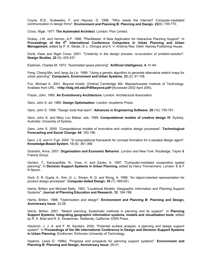Coyne, R.D., Sudweeks, F. and Haynes, D. 1996. "Who needs the Internet? Computer-mediated communication in design firms". **Environment and Planning B: Planning and Design**, **23**(6): 749-770.

Cross, Nigel. 1977. **The Automated Architect**. London: Pion Limited.

Dickey, J.W. and Vernon, A.P. 1998. "PlanMaster: A New Application for Interactive Planning Support". In Proceedings of the 5<sup>th</sup> International Conference Computers in Urban Planning and Urban **Management**, edited by P. K. Sikdar, S. L. Dhingra and K. V. Krishna Rao. Delhi: Narosa Publishing House.

Dorst, Kees and Nigel Cross. 2001. "Creativity in the design process: co-evolution of problem-solution". **Design Studies**, **22** (5): 425-437.

Eastman, Charles M. 1973. "Automated space planning". **Artificial Intelligence**, **4**: 41-64.

Feng, Cheng-Min, and Jeng-Jia Lin. 1999. "Using a genetic algorithm to generate alternative sketch maps for urban planning". **Computers, Environment and Urban Systems**, **23** (2): 91-108.

Fox, Michael A. 2001. Beyond kinetic. [Online] Cambridge MA: Massachussets Institute of Technology. Availabe from URL: <**http://kdg.mit.edu/Pdf/beyond.pdf**>[Accessed 2002 April 20th].

Frazer, John. 1995. **An Evolutionary Architecture**. London: Architectural Association.

Gero, John S. ed. 1985. **Design Optimisation**. London: Academic Press.

Gero, John S. 1998. "Design tools that learn". **Advances in Engineering Software**, **29** (10): 755-761.

Gero, John S. and Mary Lou Maher, eds. 1999. **Computational models of creative design IV**. Sydney, Australia: University of Sydney.

Gero, John S. 2000. "Computational models of innovative and creative design processes". **Technological Forecasting and Social Change**, **64**: 183-196.

Gero, J.S. and H. Fujii. 2000. "A computational framework for concept formation for a situated design agent". **Knowledge-Based System**, **13** (6): 361-368.

Grandori, Anna. 2001. **Organisation and Economic Behavior**. London and New York: Routledge, Taylor & Francis Group.

Gordon, T., Karacapilidis, N., Voss, H. and Zauke, A. 1997. "Computer-mediated cooperative spatial planning". In **Decision Support Systems in Urban Planning**, edited by Harry Timmermans. London: E & F N Spoon.

Gorti, S. R, Gupta, A., Kim, G. J., Sriram, R. D. and Wong, A. 1998. "An object-oriented representation for product design processes". **Computer-Aided Design**, **30** (7): 489-501.

Harris, Britton and Michael Batty. 1993. "Locational Models, Geographic Information and Planning Support Systems". **Journal of Planning Education and Research**, **12**: 184-198.

Harris, Britton. 1998. "Optimization and design". **Environment and Planning B: Planning and Design, Anniversary Issue**: 23-28.

Harris, Britton. 2001. "Sketch planning: Systematic methods in planning and its support". In **Planning Support Systems: Integrating geographic information systems, models and visualisation tools**, edited by R. K. Brail and R. E. Klosterman. Redlands, California: ESRI Press.

Haubrich, J. J. A. and F. M. Sanders. 2000. "Potential surface analysis: a planning and design support system". In **Proceedings of the 5th International Conference in Design and Decision Support Systems in Urban Planning**. Eindhoven: Einhoven University of Technology.

Hopkins, Lewis D. 1998a. "Progress and prospects for planning support systems". **Environment and Planning B: Planning and Design, Anniversary Issue**: 29-31.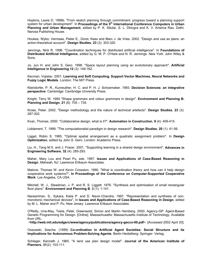Hopkins, Lewis D. 1998b. "From sketch planning through commitment: progress toward a planning support system for urban development". In **Proceedings of the 5th International Conference Computers in Urban Planning and Urban Management**, edited by P. K. Sikdar, S. L. Dhingra and K. V. Krishna Rao. Delhi: Narosa Publishing House.

Houkes, Wybo, Vermaas, Pieter E., Dorst, Kees and Marc J. de Vries. 2002. "Design and use as plans: an action-theoretical account". **Design Studies**, **23** (3): 303-320.

Jennings, Nick R. 1996. "Coordination techniques for distributed artificial intelligence". In **Foundations of Distributed Artificial Intelligence**, edited by G. M. P. O'Hare and N. R. Jennings. New York: John Wiley & Sons.

Jo, Jun H. and John S. Gero. 1998. "Space layout planning using an evolutionary approach". **Artificial Intelligence in Engineering 12** (3): 149-162.

Kecman, Vojislav. 2001. **Learning and Soft Computing. Support Vector Machines, Neural Networks and Fuzzy Logic Models**. London: The MIT Press.

Kleindorfer, P. R., Kunreuther, H. C. and P. H. J. Schoemaker. 1993. **Decision Sciences: an integrative perspective**. Cambridge: Cambridge University Press.

Knight, Terry W. 1994 "Shape grammars and colour grammars in design". **Environment and Planning B: Planning and Design**, **21** (6): 705 – 735.

Kroes, Peter. 2002. "Design methodology and the nature of technical artefacts". **Design Studies**, **23** (3): 287-302.

Kvan, Thomas. 2000. "Collaborative design: what is it?". **Automation in Construction**, **9** (4): 409-415.

Liddament, T. 1999. "The computationalist paradigm in design research". **Design Studies**, **20** (1): 41-56.

Ligget, Robin S. 1985. "Optimal spatial arrangement as a quadratic assignment problem". In **Design Optimization**, edited by John S. Gero. London: Academic Press.

Liu, H., Tang M.X. and J. Frazer. 2001. "Supporting learning in a shared design environment". **Advances in Engineering Software**, **32** (4): 285-293.

Maher, Mary Lou and Pearl Pu, eds. 1997. **Issues and Applications of Case-Based Reasoning in Design**. Mahwah, NJ: Lawrence Erlbaum Associates.

Malone, Thomas W. and Kevin Crowston. 1990. "What is coordination theory and how can it help design cooperative work systems?", **In Proceedings of the Conference on Computer-Supported Cooperative Work**. Los Angeles, CA USA.

Mitchell, W. J., Steadman, J. P. and R. S. Liggett. 1976. "Synthesis and optimisation of small rectangular floor plans". **Environment and Planning B**. **3** (1): 1-141.

Narasimhan, S., Sykara, Katia P. and D. Navin-Chandra. 1997. "Representation and synthesis of nonmonotonic mechanical devices", In **Issues and Applications of Case-Based Reasoning in Design**, edited by M. L. Maher and P. Pu. New Jersey: Lawrence Erlbaum Associates.

O'Reilly, Una-May, Testa, Peter, Greenwold, Simon and Martin Hemberg. 2000. Agency-GP: Agent-Based Genetic Programming for Design. [Online]. Massachusetts: Massachusetts Institute of Technology. Available from URL:

<**http://web.mit.edu/edgsrc/www/agency/publications/agency-gecco-00.pdf**>. [Accessed 2002 April 20].

Ossowski, Sascha. (1999) **Co-ordination in Artificial Agent Societies: Social Structure and its Implications for Autonomous Problem-Solving Agents**. Berlin Heidelberg: Springer- Verlag.

Schlager, Kenneth J. 1965. "A land use plan design model". **Journal of the American Institute of Planners**, **31**(2): 103-111.